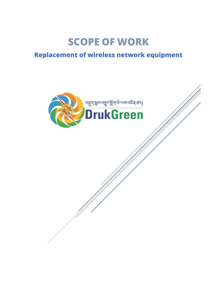## **SCOPE OF WORK**

## **Replacement of wireless network equipment**

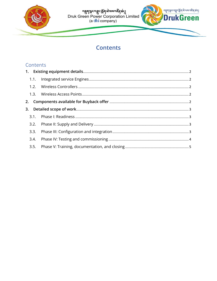

# naan หลัง หลัง หลัง หลัง หลัง หลัง หลัง<br>Druk Green Power Corporation Limited<br>(a dhi company)



### **Contents**

#### Contents

| 3.2. |  |
|------|--|
| 3.3. |  |
| 3.4. |  |
|      |  |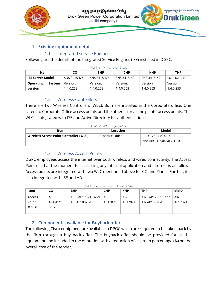



#### <span id="page-2-0"></span>**1. Existing equipment details**

#### 1.1. Integrated service Engines

<span id="page-2-1"></span>Following are the details of the Integrated Service Engines (ISE) installed in DGPC:

| гари т. 1512 ретмонтасциим |        |             |             |             |             |             |
|----------------------------|--------|-------------|-------------|-------------|-------------|-------------|
| Item                       |        | CO          | <b>BHP</b>  | <b>CHP</b>  | <b>KHP</b>  | THP         |
| ISE Server Model           |        | SNS 3415-K9 | SNS 3415-K9 | SNS 3415-K9 | SNS 3415-K9 | SNS 3415-K9 |
| <b>Operating</b>           | System | Version:    | Version:    | Version:    | Version:    | Version:    |
| version                    |        | 1.4.0.253   | 1.4.0.253   | 1.4.0.253   | 1.4.0.253   | 1.4.0.253   |

#### *Table 1: ISE version details*

#### 1.2. Wireless Controllers

<span id="page-2-2"></span>There are two Wireless Controllers (WLC). Both are installed in the Corporate office. One caters to Corporate Office access points and the other is for all the plants' access points. This WLC is integrated with ISE and Active Directory for authentication.

#### *Table 2: WCL information*

| ltem                                   | Location         | Model                    |
|----------------------------------------|------------------|--------------------------|
| Wireless Access Point Controller (WLC) | Corporate Office | AIR CT2504 v8.0.140.1    |
|                                        |                  | and AIR CT2504 v8.2.11.0 |

#### 1.3. Wireless Access Points

<span id="page-2-3"></span>DGPC employees access the internet over both wireless and wired connectivity. The Access Point used at the moment for accessing any internal application and internet is as follows: Access points are integrated with two WLC mentioned above for CO and Plants. Further, it is also integrated with ISE and AD.

*Table 3: Current Access Point details*

| Item          | CO      | <b>BHP</b>      | <b>CHP</b> | <b>KHP</b> | <b>THP</b>         | <b>MMD</b> |
|---------------|---------|-----------------|------------|------------|--------------------|------------|
| <b>Access</b> | AIR     | AIR AP17021 and | <b>AIR</b> | <b>AIR</b> | AIR AP17021<br>and | <b>AIR</b> |
| <b>Point</b>  | AP17021 | AIR AP1832L-H   | AP17021    | AP17021    | AIR AP1832L-D      | AP17021    |
| Model         | only    |                 |            |            |                    |            |
|               |         |                 |            |            |                    |            |

#### <span id="page-2-4"></span>**2. Components available for Buyback offer**

The following Cisco equipment are available in DPGC which are required to be taken back by the firm through a buy back offer. The buyback offer should be provided for all this equipment and included in the quotation with a reduction of a certain percentage (%) on the overall cost of the tender.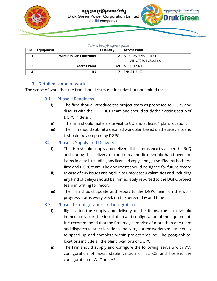



| Table 4: Items for buyback options |                         |              |                          |  |
|------------------------------------|-------------------------|--------------|--------------------------|--|
| <b>SN</b>                          | Equipment               | Quantity     | <b>Access Point</b>      |  |
|                                    | Wireless Lan Controller | $\mathbf{P}$ | AIR CT2504 v8.0.140.1    |  |
|                                    |                         |              | and AIR CT2504 v8.2.11.0 |  |
| ◠                                  | <b>Access Point</b>     | 69           | AIR AP17021              |  |
| 3                                  | <b>ISE</b>              |              | SNS 3415-K9              |  |

#### <span id="page-3-0"></span>**3. Detailed scope of work**

<span id="page-3-1"></span>The scope of work that the firm should carry out includes but not limited to:

#### 3.1. Phase I: Readiness

- i) The firm should introduce the project team as proposed to DGPC and discuss with the DGPC ICT Team and should study the existing setup of DGPC in detail.
- ii) The firm should make a site visit to CO and at least 1 plant location.
- iii) The firm should submit a detailed work plan based on the site visits and it should be accepted by DGPC.

#### <span id="page-3-2"></span>3.2. Phase II: Supply and Delivery

- i) The firm should supply and deliver all the items exactly as per the BoQ and during the delivery of the items, the firm should hand over the items in detail including any licensed copy, and get verified by both the firm and DGPC team. The document should be signed for future record
- ii) In case of any issues arising due to unforeseen calamities and including any kind of delays should be immediately reported to the DGPC project team in writing for record
- iii) The firm should update and report to the DGPC team on the work progress status every week on the agreed day and time

#### <span id="page-3-3"></span>3.3. Phase III: Configuration and integration

- i) Right after the supply and delivery of the items, the firm should immediately start the installation and configuration of the equipment. It is recommended that the firm may comprise of more than one team and dispatch to other locations and carry out the works simultaneously to speed up and complete within project timeline. The geographical locations include all the plant locations of DGPC.
- ii) The firm should supply and configure the following: servers with VM, configuration of latest stable version of ISE OS and license, the configuration of WLC and APs.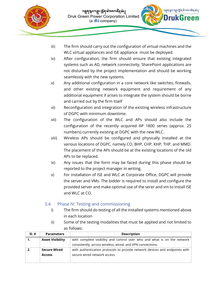



- iii) The firm should carry out the configuration of virtual machines and the WLC virtual appliances and ISE appliance must be deployed.
- iv) After configuration, the firm should ensure that existing integrated systems such as AD, network connectivity, SharePoint applications are not disturbed by the project implementation and should be working seamlessly with the new systems.
- v) Any additional configuration in a core network like switches, firewalls, and other existing network equipment and requirement of any additional equipment if arises to integrate the system should be borne and carried out by the firm itself
- vi) Reconfiguration and integration of the existing wireless infrastructure of DGPC with minimum downtime.
- vii) The configuration of the WLC and APs should also include the configuration of the recently acquired AP 1800 series (approx. 25 numbers) currently existing at DGPC with the new WLC.
- viii) Wireless APs should be configured and physically installed at the various locations of DGPC, namely CO, BHP, CHP, KHP, THP, and MMD. The placement of the APs should be at the existing locations of the old APs to be replaced.
- ix) Any issues that the form may be faced during this phase should be reported to the project manager in writing.
- x) For installation of ISE and WLC at Corporate Office, DGPC will provide the server and VMs. The bidder is required to install and configure the provided server and make optimal use of the serer and vm to install ISE and WLC at CO.

#### <span id="page-4-0"></span>3.4. Phase IV: Testing and commissioning

- i) The firm should do testing of all the installed systems mentioned above in each location
- ii) Some of the testing modalities that must be applied and not limited to as follows:

| $SI. \#$ | <b>Parameters</b>       | <b>Description</b>                                                          |  |  |
|----------|-------------------------|-----------------------------------------------------------------------------|--|--|
| 1.       | <b>Asset Visibility</b> | with complete visibility and control over who and what is on the network    |  |  |
|          |                         | consistently, across wireless, wired, and VPN connections.                  |  |  |
| 2.       | <b>Secure Wired</b>     | with authentication protocols to provide network devices and endpoints with |  |  |
|          | <b>Access</b>           | secure wired network access.                                                |  |  |
|          |                         |                                                                             |  |  |